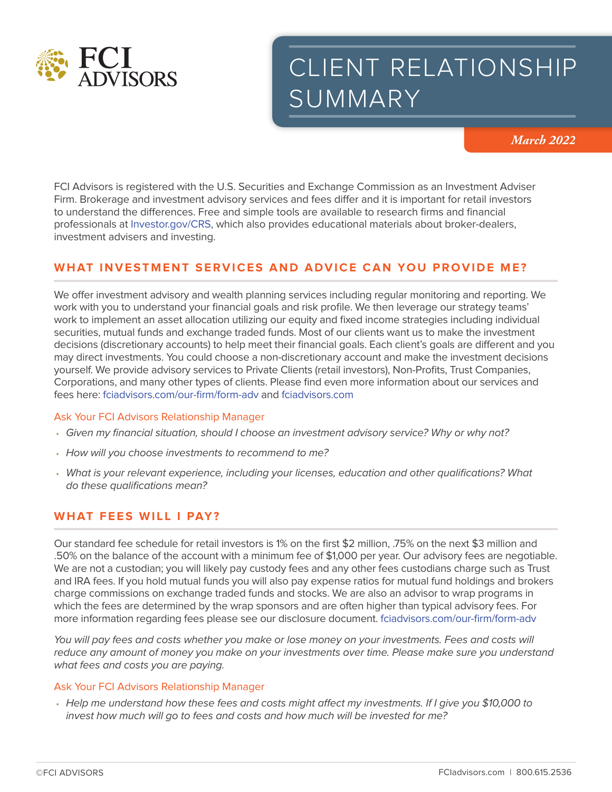

# CLIENT RELATIONSHIP SUMMARY

*March 2022*

FCI Advisors is registered with the U.S. Securities and Exchange Commission as an Investment Adviser Firm. Brokerage and investment advisory services and fees differ and it is important for retail investors to understand the differences. Free and simple tools are available to research firms and financial professionals at Investor.gov/CRS, which also provides educational materials about broker-dealers, investment advisers and investing.

# **WHAT INVESTMENT SERVICES AND ADVICE CAN YOU PROVIDE ME?**

We offer investment advisory and wealth planning services including regular monitoring and reporting. We work with you to understand your financial goals and risk profile. We then leverage our strategy teams' work to implement an asset allocation utilizing our equity and fixed income strategies including individual securities, mutual funds and exchange traded funds. Most of our clients want us to make the investment decisions (discretionary accounts) to help meet their financial goals. Each client's goals are different and you may direct investments. You could choose a non-discretionary account and make the investment decisions yourself. We provide advisory services to Private Clients (retail investors), Non-Profits, Trust Companies, Corporations, and many other types of clients. Please find even more information about our services and fees here: fciadvisors.com/our-firm/form-adv and fciadvisors.com

#### Ask Your FCI Advisors Relationship Manager

- *Given my financial situation, should I choose an investment advisory service? Why or why not?*
- *How will you choose investments to recommend to me?*
- *What is your relevant experience, including your licenses, education and other qualifications? What do these qualifications mean?*

## **WHAT FEES WILL I PAY?**

Our standard fee schedule for retail investors is 1% on the first \$2 million, .75% on the next \$3 million and .50% on the balance of the account with a minimum fee of \$1,000 per year. Our advisory fees are negotiable. We are not a custodian; you will likely pay custody fees and any other fees custodians charge such as Trust and IRA fees. If you hold mutual funds you will also pay expense ratios for mutual fund holdings and brokers charge commissions on exchange traded funds and stocks. We are also an advisor to wrap programs in which the fees are determined by the wrap sponsors and are often higher than typical advisory fees. For more information regarding fees please see our disclosure document. fciadvisors.com/our-firm/form-adv

You will pay fees and costs whether you make or lose money on your investments. Fees and costs will *reduce any amount of money you make on your investments over time. Please make sure you understand what fees and costs you are paying.*

#### Ask Your FCI Advisors Relationship Manager

• *Help me understand how these fees and costs might affect my investments. If I give you \$10,000 to invest how much will go to fees and costs and how much will be invested for me?*